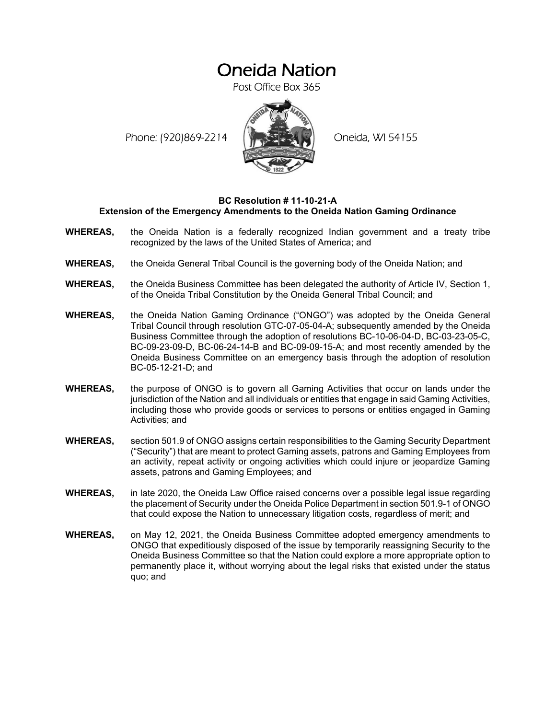# Oneida Nation

Post Office Box 365

Phone: (920)869-2214 (XXXXXXX) Oneida, WI 54155



### **BC Resolution # 11-10-21-A Extension of the Emergency Amendments to the Oneida Nation Gaming Ordinance**

- **WHEREAS,** the Oneida Nation is a federally recognized Indian government and a treaty tribe recognized by the laws of the United States of America; and
- **WHEREAS,** the Oneida General Tribal Council is the governing body of the Oneida Nation; and
- **WHEREAS,** the Oneida Business Committee has been delegated the authority of Article IV, Section 1, of the Oneida Tribal Constitution by the Oneida General Tribal Council; and
- **WHEREAS,** the Oneida Nation Gaming Ordinance ("ONGO") was adopted by the Oneida General Tribal Council through resolution GTC-07-05-04-A; subsequently amended by the Oneida Business Committee through the adoption of resolutions BC-10-06-04-D, BC-03-23-05-C, BC-09-23-09-D, BC-06-24-14-B and BC-09-09-15-A; and most recently amended by the Oneida Business Committee on an emergency basis through the adoption of resolution BC-05-12-21-D; and
- **WHEREAS,** the purpose of ONGO is to govern all Gaming Activities that occur on lands under the jurisdiction of the Nation and all individuals or entities that engage in said Gaming Activities, including those who provide goods or services to persons or entities engaged in Gaming Activities; and
- **WHEREAS,** section 501.9 of ONGO assigns certain responsibilities to the Gaming Security Department ("Security") that are meant to protect Gaming assets, patrons and Gaming Employees from an activity, repeat activity or ongoing activities which could injure or jeopardize Gaming assets, patrons and Gaming Employees; and
- **WHEREAS,** in late 2020, the Oneida Law Office raised concerns over a possible legal issue regarding the placement of Security under the Oneida Police Department in section 501.9-1 of ONGO that could expose the Nation to unnecessary litigation costs, regardless of merit; and
- **WHEREAS,** on May 12, 2021, the Oneida Business Committee adopted emergency amendments to ONGO that expeditiously disposed of the issue by temporarily reassigning Security to the Oneida Business Committee so that the Nation could explore a more appropriate option to permanently place it, without worrying about the legal risks that existed under the status quo; and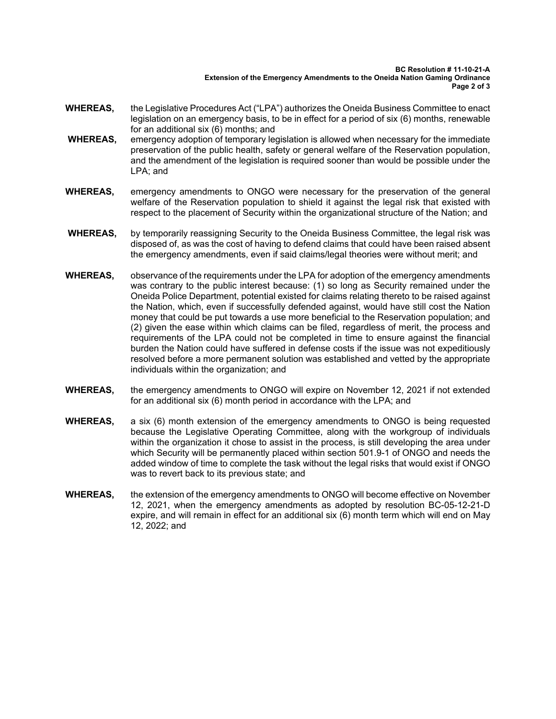#### **BC Resolution # 11-10-21-A Extension of the Emergency Amendments to the Oneida Nation Gaming Ordinance Page 2 of 3**

- **WHEREAS,** the Legislative Procedures Act ("LPA") authorizes the Oneida Business Committee to enact legislation on an emergency basis, to be in effect for a period of six (6) months, renewable for an additional six (6) months; and
- **WHEREAS,** emergency adoption of temporary legislation is allowed when necessary for the immediate preservation of the public health, safety or general welfare of the Reservation population, and the amendment of the legislation is required sooner than would be possible under the LPA; and
- **WHEREAS,** emergency amendments to ONGO were necessary for the preservation of the general welfare of the Reservation population to shield it against the legal risk that existed with respect to the placement of Security within the organizational structure of the Nation; and
- **WHEREAS,** by temporarily reassigning Security to the Oneida Business Committee, the legal risk was disposed of, as was the cost of having to defend claims that could have been raised absent the emergency amendments, even if said claims/legal theories were without merit; and
- **WHEREAS,** observance of the requirements under the LPA for adoption of the emergency amendments was contrary to the public interest because: (1) so long as Security remained under the Oneida Police Department, potential existed for claims relating thereto to be raised against the Nation, which, even if successfully defended against, would have still cost the Nation money that could be put towards a use more beneficial to the Reservation population; and (2) given the ease within which claims can be filed, regardless of merit, the process and requirements of the LPA could not be completed in time to ensure against the financial burden the Nation could have suffered in defense costs if the issue was not expeditiously resolved before a more permanent solution was established and vetted by the appropriate individuals within the organization; and
- **WHEREAS,** the emergency amendments to ONGO will expire on November 12, 2021 if not extended for an additional six (6) month period in accordance with the LPA; and
- **WHEREAS,** a six (6) month extension of the emergency amendments to ONGO is being requested because the Legislative Operating Committee, along with the workgroup of individuals within the organization it chose to assist in the process, is still developing the area under which Security will be permanently placed within section 501.9-1 of ONGO and needs the added window of time to complete the task without the legal risks that would exist if ONGO was to revert back to its previous state; and
- **WHEREAS,** the extension of the emergency amendments to ONGO will become effective on November 12, 2021, when the emergency amendments as adopted by resolution BC-05-12-21-D expire, and will remain in effect for an additional six (6) month term which will end on May 12, 2022; and